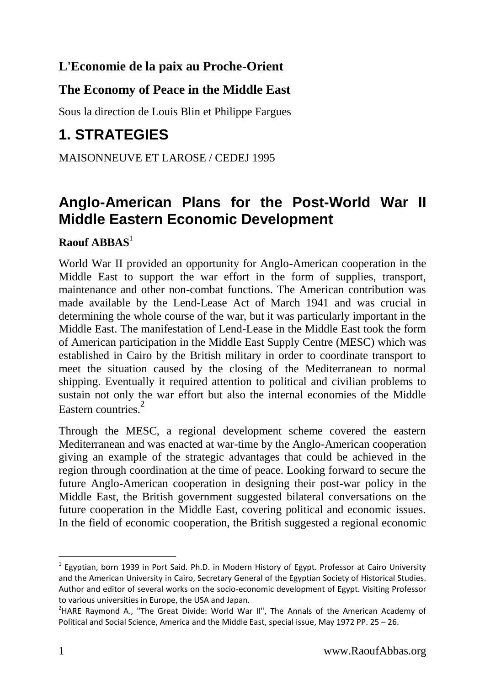## **L'Economie de la paix au Proche-Orient**

### **The Economy of Peace in the Middle East**

Sous la direction de Louis Blin et Philippe Fargues

# **1. STRATEGIES**

MAISONNEUVE ET LAROSE / CEDEJ 1995

## **Anglo-American Plans for the Post-World War II Middle Eastern Economic Development**

### **Raouf ABBAS**<sup>1</sup>

World War II provided an opportunity for Anglo-American cooperation in the Middle East to support the war effort in the form of supplies, transport, maintenance and other non-combat functions. The American contribution was made available by the Lend-Lease Act of March 1941 and was crucial in determining the whole course of the war, but it was particularly important in the Middle East. The manifestation of Lend-Lease in the Middle East took the form of American participation in the Middle East Supply Centre (MESC) which was established in Cairo by the British military in order to coordinate transport to meet the situation caused by the closing of the Mediterranean to normal shipping. Eventually it required attention to political and civilian problems to sustain not only the war effort but also the internal economies of the Middle Eastern countries.<sup>2</sup>

Through the MESC, a regional development scheme covered the eastern Mediterranean and was enacted at war-time by the Anglo-American cooperation giving an example of the strategic advantages that could be achieved in the region through coordination at the time of peace. Looking forward to secure the future Anglo-American cooperation in designing their post-war policy in the Middle East, the British government suggested bilateral conversations on the future cooperation in the Middle East, covering political and economic issues. In the field of economic cooperation, the British suggested a regional economic

<sup>&</sup>lt;sup>1</sup> Egyptian, born 1939 in Port Said. Ph.D. in Modern History of Egypt. Professor at Cairo University and the American University in Cairo, Secretary General of the Egyptian Society of Historical Studies. Author and editor of several works on the socio-economic development of Egypt. Visiting Professor to various universities in Europe, the USA and Japan.

 $<sup>2</sup>$ HARE Raymond A., "The Great Divide: World War II", The Annals of the American Academy of</sup> Political and Social Science, America and the Middle East, special issue, May 1972 PP. 25 – 26.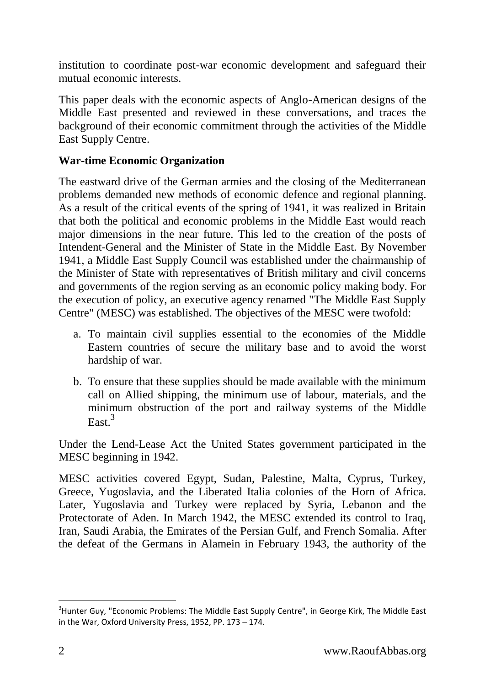institution to coordinate post-war economic development and safeguard their mutual economic interests.

This paper deals with the economic aspects of Anglo-American designs of the Middle East presented and reviewed in these conversations, and traces the background of their economic commitment through the activities of the Middle East Supply Centre.

#### **War-time Economic Organization**

The eastward drive of the German armies and the closing of the Mediterranean problems demanded new methods of economic defence and regional planning. As a result of the critical events of the spring of 1941, it was realized in Britain that both the political and economic problems in the Middle East would reach major dimensions in the near future. This led to the creation of the posts of Intendent-General and the Minister of State in the Middle East. By November 1941, a Middle East Supply Council was established under the chairmanship of the Minister of State with representatives of British military and civil concerns and governments of the region serving as an economic policy making body. For the execution of policy, an executive agency renamed "The Middle East Supply Centre" (MESC) was established. The objectives of the MESC were twofold:

- a. To maintain civil supplies essential to the economies of the Middle Eastern countries of secure the military base and to avoid the worst hardship of war.
- b. To ensure that these supplies should be made available with the minimum call on Allied shipping, the minimum use of labour, materials, and the minimum obstruction of the port and railway systems of the Middle East  $3$

Under the Lend-Lease Act the United States government participated in the MESC beginning in 1942.

MESC activities covered Egypt, Sudan, Palestine, Malta, Cyprus, Turkey, Greece, Yugoslavia, and the Liberated Italia colonies of the Horn of Africa. Later, Yugoslavia and Turkey were replaced by Syria, Lebanon and the Protectorate of Aden. In March 1942, the MESC extended its control to Iraq, Iran, Saudi Arabia, the Emirates of the Persian Gulf, and French Somalia. After the defeat of the Germans in Alamein in February 1943, the authority of the

<sup>&</sup>lt;sup>3</sup> Hunter Guy, "Economic Problems: The Middle East Supply Centre", in George Kirk, The Middle East in the War, Oxford University Press, 1952, PP. 173 – 174.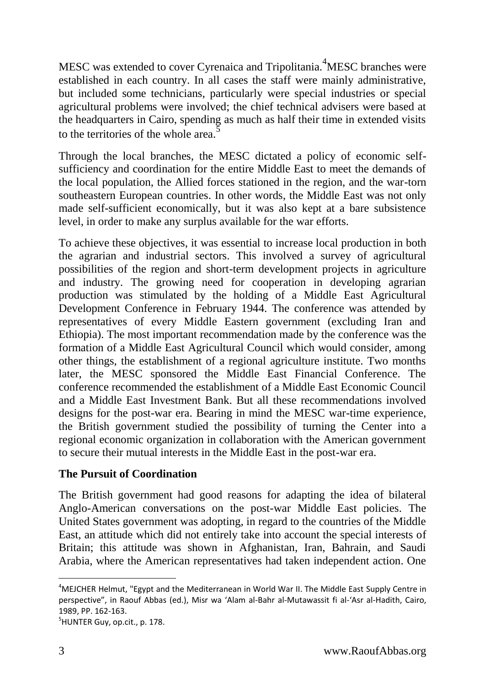MESC was extended to cover Cyrenaica and Tripolitania.<sup>4</sup>MESC branches were established in each country. In all cases the staff were mainly administrative, but included some technicians, particularly were special industries or special agricultural problems were involved; the chief technical advisers were based at the headquarters in Cairo, spending as much as half their time in extended visits to the territories of the whole area.<sup>5</sup>

Through the local branches, the MESC dictated a policy of economic selfsufficiency and coordination for the entire Middle East to meet the demands of the local population, the Allied forces stationed in the region, and the war-torn southeastern European countries. In other words, the Middle East was not only made self-sufficient economically, but it was also kept at a bare subsistence level, in order to make any surplus available for the war efforts.

To achieve these objectives, it was essential to increase local production in both the agrarian and industrial sectors. This involved a survey of agricultural possibilities of the region and short-term development projects in agriculture and industry. The growing need for cooperation in developing agrarian production was stimulated by the holding of a Middle East Agricultural Development Conference in February 1944. The conference was attended by representatives of every Middle Eastern government (excluding Iran and Ethiopia). The most important recommendation made by the conference was the formation of a Middle East Agricultural Council which would consider, among other things, the establishment of a regional agriculture institute. Two months later, the MESC sponsored the Middle East Financial Conference. The conference recommended the establishment of a Middle East Economic Council and a Middle East Investment Bank. But all these recommendations involved designs for the post-war era. Bearing in mind the MESC war-time experience, the British government studied the possibility of turning the Center into a regional economic organization in collaboration with the American government to secure their mutual interests in the Middle East in the post-war era.

#### **The Pursuit of Coordination**

The British government had good reasons for adapting the idea of bilateral Anglo-American conversations on the post-war Middle East policies. The United States government was adopting, in regard to the countries of the Middle East, an attitude which did not entirely take into account the special interests of Britain; this attitude was shown in Afghanistan, Iran, Bahrain, and Saudi Arabia, where the American representatives had taken independent action. One

<sup>&</sup>lt;sup>4</sup>MEJCHER Helmut, "Egypt and the Mediterranean in World War II. The Middle East Supply Centre in perspective", in Raouf Abbas (ed.), Misr wa 'Alam al-Bahr al-Mutawassit fi al-'Asr al-Hadith, Cairo, 1989, PP. 162-163.

 $<sup>5</sup>$ HUNTER Guy, op.cit., p. 178.</sup>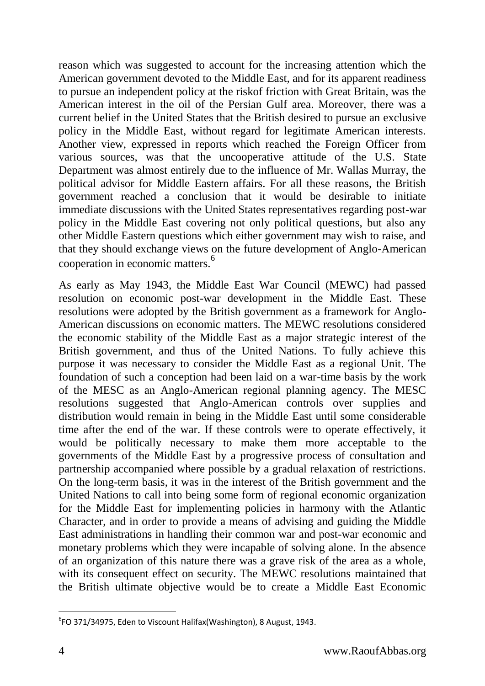reason which was suggested to account for the increasing attention which the American government devoted to the Middle East, and for its apparent readiness to pursue an independent policy at the riskof friction with Great Britain, was the American interest in the oil of the Persian Gulf area. Moreover, there was a current belief in the United States that the British desired to pursue an exclusive policy in the Middle East, without regard for legitimate American interests. Another view, expressed in reports which reached the Foreign Officer from various sources, was that the uncooperative attitude of the U.S. State Department was almost entirely due to the influence of Mr. Wallas Murray, the political advisor for Middle Eastern affairs. For all these reasons, the British government reached a conclusion that it would be desirable to initiate immediate discussions with the United States representatives regarding post-war policy in the Middle East covering not only political questions, but also any other Middle Eastern questions which either government may wish to raise, and that they should exchange views on the future development of Anglo-American cooperation in economic matters.<sup>6</sup>

As early as May 1943, the Middle East War Council (MEWC) had passed resolution on economic post-war development in the Middle East. These resolutions were adopted by the British government as a framework for Anglo-American discussions on economic matters. The MEWC resolutions considered the economic stability of the Middle East as a major strategic interest of the British government, and thus of the United Nations. To fully achieve this purpose it was necessary to consider the Middle East as a regional Unit. The foundation of such a conception had been laid on a war-time basis by the work of the MESC as an Anglo-American regional planning agency. The MESC resolutions suggested that Anglo-American controls over supplies and distribution would remain in being in the Middle East until some considerable time after the end of the war. If these controls were to operate effectively, it would be politically necessary to make them more acceptable to the governments of the Middle East by a progressive process of consultation and partnership accompanied where possible by a gradual relaxation of restrictions. On the long-term basis, it was in the interest of the British government and the United Nations to call into being some form of regional economic organization for the Middle East for implementing policies in harmony with the Atlantic Character, and in order to provide a means of advising and guiding the Middle East administrations in handling their common war and post-war economic and monetary problems which they were incapable of solving alone. In the absence of an organization of this nature there was a grave risk of the area as a whole, with its consequent effect on security. The MEWC resolutions maintained that the British ultimate objective would be to create a Middle East Economic

<sup>6</sup> FO 371/34975, Eden to Viscount Halifax(Washington), 8 August, 1943.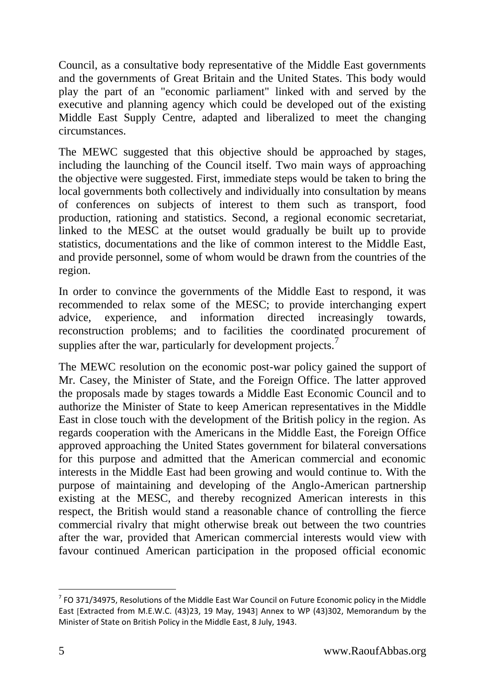Council, as a consultative body representative of the Middle East governments and the governments of Great Britain and the United States. This body would play the part of an "economic parliament" linked with and served by the executive and planning agency which could be developed out of the existing Middle East Supply Centre, adapted and liberalized to meet the changing circumstances.

The MEWC suggested that this objective should be approached by stages, including the launching of the Council itself. Two main ways of approaching the objective were suggested. First, immediate steps would be taken to bring the local governments both collectively and individually into consultation by means of conferences on subjects of interest to them such as transport, food production, rationing and statistics. Second, a regional economic secretariat, linked to the MESC at the outset would gradually be built up to provide statistics, documentations and the like of common interest to the Middle East, and provide personnel, some of whom would be drawn from the countries of the region.

In order to convince the governments of the Middle East to respond, it was recommended to relax some of the MESC; to provide interchanging expert advice, experience, and information directed increasingly towards, reconstruction problems; and to facilities the coordinated procurement of supplies after the war, particularly for development projects.<sup>7</sup>

The MEWC resolution on the economic post-war policy gained the support of Mr. Casey, the Minister of State, and the Foreign Office. The latter approved the proposals made by stages towards a Middle East Economic Council and to authorize the Minister of State to keep American representatives in the Middle East in close touch with the development of the British policy in the region. As regards cooperation with the Americans in the Middle East, the Foreign Office approved approaching the United States government for bilateral conversations for this purpose and admitted that the American commercial and economic interests in the Middle East had been growing and would continue to. With the purpose of maintaining and developing of the Anglo-American partnership existing at the MESC, and thereby recognized American interests in this respect, the British would stand a reasonable chance of controlling the fierce commercial rivalry that might otherwise break out between the two countries after the war, provided that American commercial interests would view with favour continued American participation in the proposed official economic

 $7$  FO 371/34975, Resolutions of the Middle East War Council on Future Economic policy in the Middle East [Extracted from M.E.W.C. (43)23, 19 May, 1943] Annex to WP (43)302, Memorandum by the Minister of State on British Policy in the Middle East, 8 July, 1943.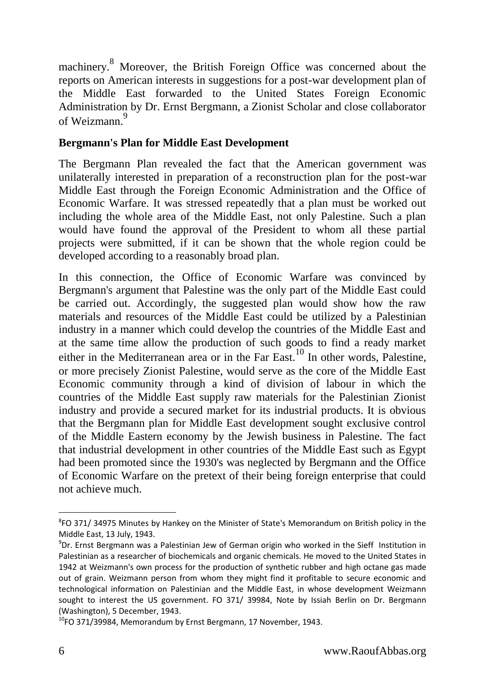machinery.<sup>8</sup> Moreover, the British Foreign Office was concerned about the reports on American interests in suggestions for a post-war development plan of the Middle East forwarded to the United States Foreign Economic Administration by Dr. Ernst Bergmann, a Zionist Scholar and close collaborator of Weizmann<sup>9</sup>

#### **Bergmann's Plan for Middle East Development**

The Bergmann Plan revealed the fact that the American government was unilaterally interested in preparation of a reconstruction plan for the post-war Middle East through the Foreign Economic Administration and the Office of Economic Warfare. It was stressed repeatedly that a plan must be worked out including the whole area of the Middle East, not only Palestine. Such a plan would have found the approval of the President to whom all these partial projects were submitted, if it can be shown that the whole region could be developed according to a reasonably broad plan.

In this connection, the Office of Economic Warfare was convinced by Bergmann's argument that Palestine was the only part of the Middle East could be carried out. Accordingly, the suggested plan would show how the raw materials and resources of the Middle East could be utilized by a Palestinian industry in a manner which could develop the countries of the Middle East and at the same time allow the production of such goods to find a ready market either in the Mediterranean area or in the Far East.<sup>10</sup> In other words, Palestine, or more precisely Zionist Palestine, would serve as the core of the Middle East Economic community through a kind of division of labour in which the countries of the Middle East supply raw materials for the Palestinian Zionist industry and provide a secured market for its industrial products. It is obvious that the Bergmann plan for Middle East development sought exclusive control of the Middle Eastern economy by the Jewish business in Palestine. The fact that industrial development in other countries of the Middle East such as Egypt had been promoted since the 1930's was neglected by Bergmann and the Office of Economic Warfare on the pretext of their being foreign enterprise that could not achieve much.

<sup>&</sup>lt;sup>8</sup>FO 371/34975 Minutes by Hankey on the Minister of State's Memorandum on British policy in the Middle East, 13 July, 1943.

<sup>&</sup>lt;sup>9</sup>Dr. Ernst Bergmann was a Palestinian Jew of German origin who worked in the Sieff Institution in Palestinian as a researcher of biochemicals and organic chemicals. He moved to the United States in 1942 at Weizmann's own process for the production of synthetic rubber and high octane gas made out of grain. Weizmann person from whom they might find it profitable to secure economic and technological information on Palestinian and the Middle East, in whose development Weizmann sought to interest the US government. FO 371/ 39984, Note by Issiah Berlin on Dr. Bergmann (Washington), 5 December, 1943.

 $10$ FO 371/39984, Memorandum by Ernst Bergmann, 17 November, 1943.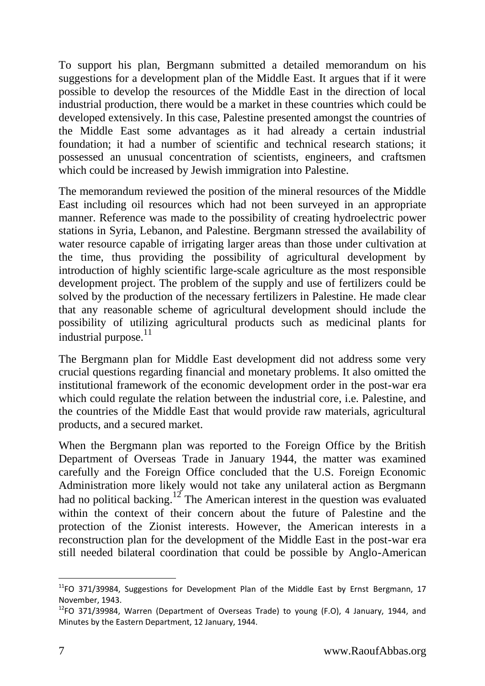To support his plan, Bergmann submitted a detailed memorandum on his suggestions for a development plan of the Middle East. It argues that if it were possible to develop the resources of the Middle East in the direction of local industrial production, there would be a market in these countries which could be developed extensively. In this case, Palestine presented amongst the countries of the Middle East some advantages as it had already a certain industrial foundation; it had a number of scientific and technical research stations; it possessed an unusual concentration of scientists, engineers, and craftsmen which could be increased by Jewish immigration into Palestine.

The memorandum reviewed the position of the mineral resources of the Middle East including oil resources which had not been surveyed in an appropriate manner. Reference was made to the possibility of creating hydroelectric power stations in Syria, Lebanon, and Palestine. Bergmann stressed the availability of water resource capable of irrigating larger areas than those under cultivation at the time, thus providing the possibility of agricultural development by introduction of highly scientific large-scale agriculture as the most responsible development project. The problem of the supply and use of fertilizers could be solved by the production of the necessary fertilizers in Palestine. He made clear that any reasonable scheme of agricultural development should include the possibility of utilizing agricultural products such as medicinal plants for  $\frac{1}{1}$  industrial purpose.<sup>11</sup>

The Bergmann plan for Middle East development did not address some very crucial questions regarding financial and monetary problems. It also omitted the institutional framework of the economic development order in the post-war era which could regulate the relation between the industrial core, i.e. Palestine, and the countries of the Middle East that would provide raw materials, agricultural products, and a secured market.

When the Bergmann plan was reported to the Foreign Office by the British Department of Overseas Trade in January 1944, the matter was examined carefully and the Foreign Office concluded that the U.S. Foreign Economic Administration more likely would not take any unilateral action as Bergmann had no political backing.<sup>12</sup> The American interest in the question was evaluated within the context of their concern about the future of Palestine and the protection of the Zionist interests. However, the American interests in a reconstruction plan for the development of the Middle East in the post-war era still needed bilateral coordination that could be possible by Anglo-American

 $11$ FO 371/39984, Suggestions for Development Plan of the Middle East by Ernst Bergmann, 17 November, 1943.

 $12$ FO 371/39984, Warren (Department of Overseas Trade) to young (F.O), 4 January, 1944, and Minutes by the Eastern Department, 12 January, 1944.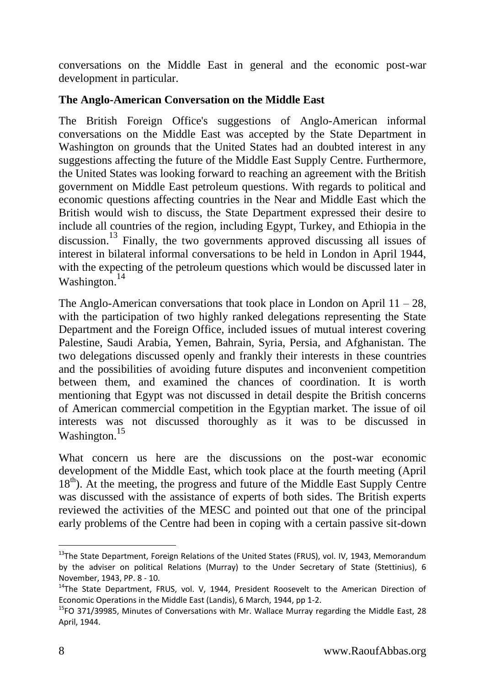conversations on the Middle East in general and the economic post-war development in particular.

#### **The Anglo-American Conversation on the Middle East**

The British Foreign Office's suggestions of Anglo-American informal conversations on the Middle East was accepted by the State Department in Washington on grounds that the United States had an doubted interest in any suggestions affecting the future of the Middle East Supply Centre. Furthermore, the United States was looking forward to reaching an agreement with the British government on Middle East petroleum questions. With regards to political and economic questions affecting countries in the Near and Middle East which the British would wish to discuss, the State Department expressed their desire to include all countries of the region, including Egypt, Turkey, and Ethiopia in the discussion.<sup>13</sup> Finally, the two governments approved discussing all issues of interest in bilateral informal conversations to be held in London in April 1944, with the expecting of the petroleum questions which would be discussed later in Washington.<sup>14</sup>

The Anglo-American conversations that took place in London on April  $11 - 28$ , with the participation of two highly ranked delegations representing the State Department and the Foreign Office, included issues of mutual interest covering Palestine, Saudi Arabia, Yemen, Bahrain, Syria, Persia, and Afghanistan. The two delegations discussed openly and frankly their interests in these countries and the possibilities of avoiding future disputes and inconvenient competition between them, and examined the chances of coordination. It is worth mentioning that Egypt was not discussed in detail despite the British concerns of American commercial competition in the Egyptian market. The issue of oil interests was not discussed thoroughly as it was to be discussed in Washington.<sup>15</sup>

What concern us here are the discussions on the post-war economic development of the Middle East, which took place at the fourth meeting (April  $18<sup>th</sup>$ ). At the meeting, the progress and future of the Middle East Supply Centre was discussed with the assistance of experts of both sides. The British experts reviewed the activities of the MESC and pointed out that one of the principal early problems of the Centre had been in coping with a certain passive sit-down

<sup>&</sup>lt;sup>13</sup>The State Department, Foreign Relations of the United States (FRUS), vol. IV, 1943, Memorandum by the adviser on political Relations (Murray) to the Under Secretary of State (Stettinius), 6 November, 1943, PP. 8 - 10.

<sup>&</sup>lt;sup>14</sup>The State Department, FRUS, vol. V, 1944, President Roosevelt to the American Direction of Economic Operations in the Middle East (Landis), 6 March, 1944, pp 1-2.

 $<sup>15</sup>$ FO 371/39985, Minutes of Conversations with Mr. Wallace Murray regarding the Middle East, 28</sup> April, 1944.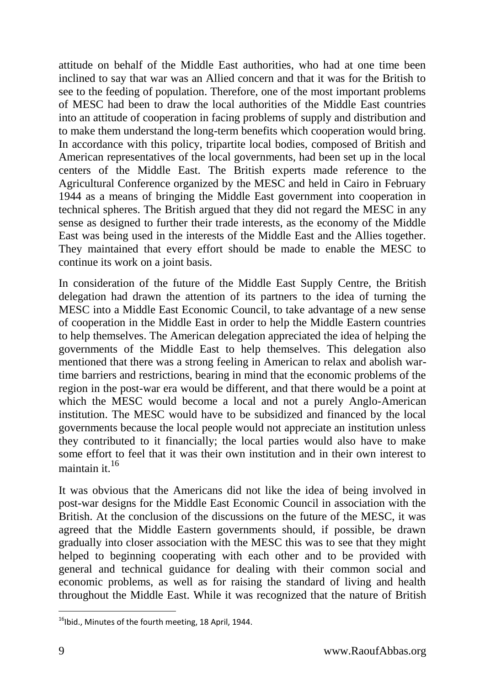attitude on behalf of the Middle East authorities, who had at one time been inclined to say that war was an Allied concern and that it was for the British to see to the feeding of population. Therefore, one of the most important problems of MESC had been to draw the local authorities of the Middle East countries into an attitude of cooperation in facing problems of supply and distribution and to make them understand the long-term benefits which cooperation would bring. In accordance with this policy, tripartite local bodies, composed of British and American representatives of the local governments, had been set up in the local centers of the Middle East. The British experts made reference to the Agricultural Conference organized by the MESC and held in Cairo in February 1944 as a means of bringing the Middle East government into cooperation in technical spheres. The British argued that they did not regard the MESC in any sense as designed to further their trade interests, as the economy of the Middle East was being used in the interests of the Middle East and the Allies together. They maintained that every effort should be made to enable the MESC to continue its work on a joint basis.

In consideration of the future of the Middle East Supply Centre, the British delegation had drawn the attention of its partners to the idea of turning the MESC into a Middle East Economic Council, to take advantage of a new sense of cooperation in the Middle East in order to help the Middle Eastern countries to help themselves. The American delegation appreciated the idea of helping the governments of the Middle East to help themselves. This delegation also mentioned that there was a strong feeling in American to relax and abolish wartime barriers and restrictions, bearing in mind that the economic problems of the region in the post-war era would be different, and that there would be a point at which the MESC would become a local and not a purely Anglo-American institution. The MESC would have to be subsidized and financed by the local governments because the local people would not appreciate an institution unless they contributed to it financially; the local parties would also have to make some effort to feel that it was their own institution and in their own interest to maintain it. $16$ 

It was obvious that the Americans did not like the idea of being involved in post-war designs for the Middle East Economic Council in association with the British. At the conclusion of the discussions on the future of the MESC, it was agreed that the Middle Eastern governments should, if possible, be drawn gradually into closer association with the MESC this was to see that they might helped to beginning cooperating with each other and to be provided with general and technical guidance for dealing with their common social and economic problems, as well as for raising the standard of living and health throughout the Middle East. While it was recognized that the nature of British

 $16$ Ibid., Minutes of the fourth meeting, 18 April, 1944.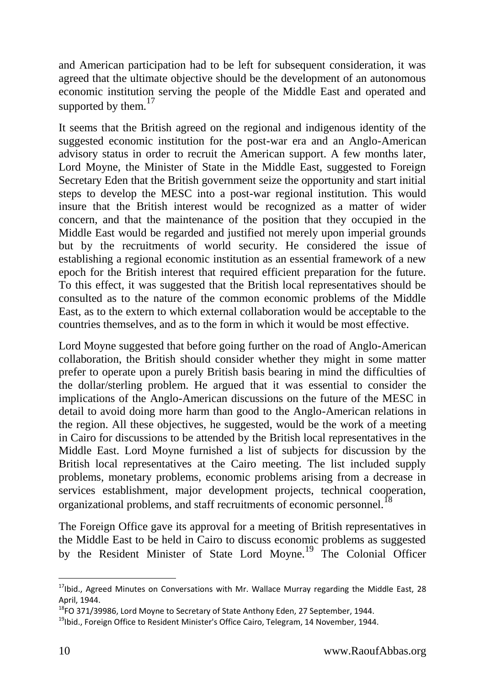and American participation had to be left for subsequent consideration, it was agreed that the ultimate objective should be the development of an autonomous economic institution serving the people of the Middle East and operated and supported by them.<sup>17</sup>

It seems that the British agreed on the regional and indigenous identity of the suggested economic institution for the post-war era and an Anglo-American advisory status in order to recruit the American support. A few months later, Lord Moyne, the Minister of State in the Middle East, suggested to Foreign Secretary Eden that the British government seize the opportunity and start initial steps to develop the MESC into a post-war regional institution. This would insure that the British interest would be recognized as a matter of wider concern, and that the maintenance of the position that they occupied in the Middle East would be regarded and justified not merely upon imperial grounds but by the recruitments of world security. He considered the issue of establishing a regional economic institution as an essential framework of a new epoch for the British interest that required efficient preparation for the future. To this effect, it was suggested that the British local representatives should be consulted as to the nature of the common economic problems of the Middle East, as to the extern to which external collaboration would be acceptable to the countries themselves, and as to the form in which it would be most effective.

Lord Moyne suggested that before going further on the road of Anglo-American collaboration, the British should consider whether they might in some matter prefer to operate upon a purely British basis bearing in mind the difficulties of the dollar/sterling problem. He argued that it was essential to consider the implications of the Anglo-American discussions on the future of the MESC in detail to avoid doing more harm than good to the Anglo-American relations in the region. All these objectives, he suggested, would be the work of a meeting in Cairo for discussions to be attended by the British local representatives in the Middle East. Lord Moyne furnished a list of subjects for discussion by the British local representatives at the Cairo meeting. The list included supply problems, monetary problems, economic problems arising from a decrease in services establishment, major development projects, technical cooperation, organizational problems, and staff recruitments of economic personnel.<sup>1</sup>

The Foreign Office gave its approval for a meeting of British representatives in the Middle East to be held in Cairo to discuss economic problems as suggested by the Resident Minister of State Lord Moyne.<sup>19</sup> The Colonial Officer

<sup>&</sup>lt;sup>17</sup>Ibid., Agreed Minutes on Conversations with Mr. Wallace Murray regarding the Middle East, 28 April, 1944.

<sup>&</sup>lt;sup>18</sup>FO 371/39986, Lord Moyne to Secretary of State Anthony Eden, 27 September, 1944.

 $19$ Ibid., Foreign Office to Resident Minister's Office Cairo, Telegram, 14 November, 1944.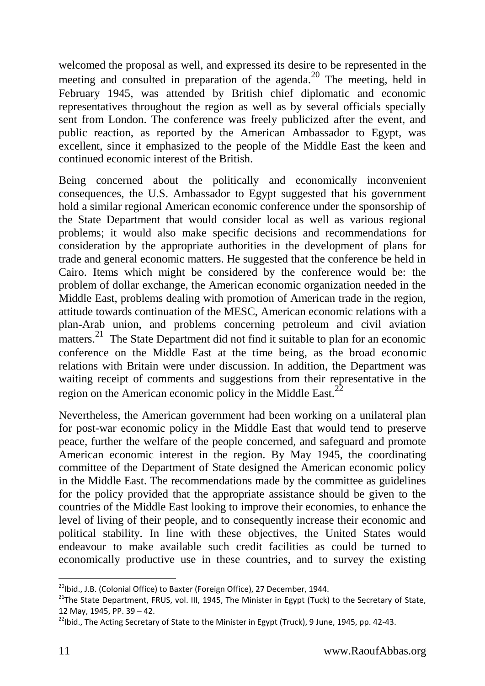welcomed the proposal as well, and expressed its desire to be represented in the meeting and consulted in preparation of the agenda.<sup>20</sup> The meeting, held in February 1945, was attended by British chief diplomatic and economic representatives throughout the region as well as by several officials specially sent from London. The conference was freely publicized after the event, and public reaction, as reported by the American Ambassador to Egypt, was excellent, since it emphasized to the people of the Middle East the keen and continued economic interest of the British.

Being concerned about the politically and economically inconvenient consequences, the U.S. Ambassador to Egypt suggested that his government hold a similar regional American economic conference under the sponsorship of the State Department that would consider local as well as various regional problems; it would also make specific decisions and recommendations for consideration by the appropriate authorities in the development of plans for trade and general economic matters. He suggested that the conference be held in Cairo. Items which might be considered by the conference would be: the problem of dollar exchange, the American economic organization needed in the Middle East, problems dealing with promotion of American trade in the region, attitude towards continuation of the MESC, American economic relations with a plan-Arab union, and problems concerning petroleum and civil aviation matters.<sup>21</sup> The State Department did not find it suitable to plan for an economic conference on the Middle East at the time being, as the broad economic relations with Britain were under discussion. In addition, the Department was waiting receipt of comments and suggestions from their representative in the region on the American economic policy in the Middle East.<sup>22</sup>

Nevertheless, the American government had been working on a unilateral plan for post-war economic policy in the Middle East that would tend to preserve peace, further the welfare of the people concerned, and safeguard and promote American economic interest in the region. By May 1945, the coordinating committee of the Department of State designed the American economic policy in the Middle East. The recommendations made by the committee as guidelines for the policy provided that the appropriate assistance should be given to the countries of the Middle East looking to improve their economies, to enhance the level of living of their people, and to consequently increase their economic and political stability. In line with these objectives, the United States would endeavour to make available such credit facilities as could be turned to economically productive use in these countries, and to survey the existing

 $20$ Ibid., J.B. (Colonial Office) to Baxter (Foreign Office), 27 December, 1944.

 $21$ The State Department, FRUS, vol. III, 1945, The Minister in Egypt (Tuck) to the Secretary of State, 12 May, 1945, PP. 39 – 42.

 $^{22}$ Ibid., The Acting Secretary of State to the Minister in Egypt (Truck), 9 June, 1945, pp. 42-43.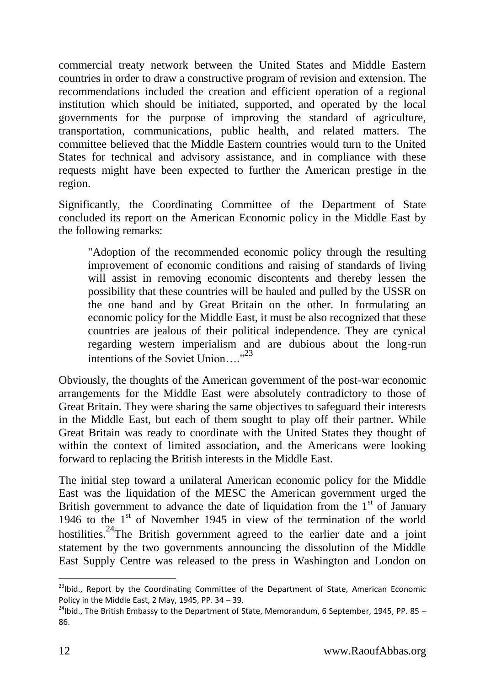commercial treaty network between the United States and Middle Eastern countries in order to draw a constructive program of revision and extension. The recommendations included the creation and efficient operation of a regional institution which should be initiated, supported, and operated by the local governments for the purpose of improving the standard of agriculture, transportation, communications, public health, and related matters. The committee believed that the Middle Eastern countries would turn to the United States for technical and advisory assistance, and in compliance with these requests might have been expected to further the American prestige in the region.

Significantly, the Coordinating Committee of the Department of State concluded its report on the American Economic policy in the Middle East by the following remarks:

"Adoption of the recommended economic policy through the resulting improvement of economic conditions and raising of standards of living will assist in removing economic discontents and thereby lessen the possibility that these countries will be hauled and pulled by the USSR on the one hand and by Great Britain on the other. In formulating an economic policy for the Middle East, it must be also recognized that these countries are jealous of their political independence. They are cynical regarding western imperialism and are dubious about the long-run intentions of the Soviet Union…."<sup>23</sup>

Obviously, the thoughts of the American government of the post-war economic arrangements for the Middle East were absolutely contradictory to those of Great Britain. They were sharing the same objectives to safeguard their interests in the Middle East, but each of them sought to play off their partner. While Great Britain was ready to coordinate with the United States they thought of within the context of limited association, and the Americans were looking forward to replacing the British interests in the Middle East.

The initial step toward a unilateral American economic policy for the Middle East was the liquidation of the MESC the American government urged the British government to advance the date of liquidation from the  $1<sup>st</sup>$  of January 1946 to the 1<sup>st</sup> of November 1945 in view of the termination of the world hostilities.<sup>24</sup>The British government agreed to the earlier date and a joint statement by the two governments announcing the dissolution of the Middle East Supply Centre was released to the press in Washington and London on

<sup>&</sup>lt;sup>23</sup>Ibid., Report by the Coordinating Committee of the Department of State, American Economic Policy in the Middle East, 2 May, 1945, PP. 34 – 39.

 $24$ Ibid., The British Embassy to the Department of State, Memorandum, 6 September, 1945, PP. 85 – 86.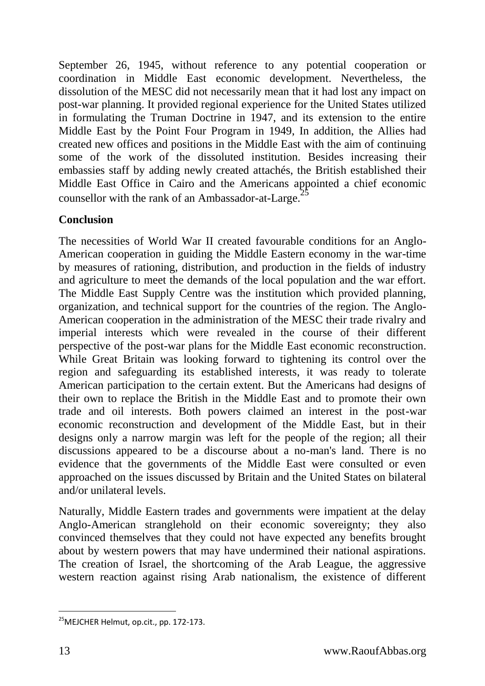September 26, 1945, without reference to any potential cooperation or coordination in Middle East economic development. Nevertheless, the dissolution of the MESC did not necessarily mean that it had lost any impact on post-war planning. It provided regional experience for the United States utilized in formulating the Truman Doctrine in 1947, and its extension to the entire Middle East by the Point Four Program in 1949, In addition, the Allies had created new offices and positions in the Middle East with the aim of continuing some of the work of the dissoluted institution. Besides increasing their embassies staff by adding newly created attachés, the British established their Middle East Office in Cairo and the Americans appointed a chief economic counsellor with the rank of an Ambassador-at-Large.<sup>2</sup>

#### **Conclusion**

The necessities of World War II created favourable conditions for an Anglo-American cooperation in guiding the Middle Eastern economy in the war-time by measures of rationing, distribution, and production in the fields of industry and agriculture to meet the demands of the local population and the war effort. The Middle East Supply Centre was the institution which provided planning, organization, and technical support for the countries of the region. The Anglo-American cooperation in the administration of the MESC their trade rivalry and imperial interests which were revealed in the course of their different perspective of the post-war plans for the Middle East economic reconstruction. While Great Britain was looking forward to tightening its control over the region and safeguarding its established interests, it was ready to tolerate American participation to the certain extent. But the Americans had designs of their own to replace the British in the Middle East and to promote their own trade and oil interests. Both powers claimed an interest in the post-war economic reconstruction and development of the Middle East, but in their designs only a narrow margin was left for the people of the region; all their discussions appeared to be a discourse about a no-man's land. There is no evidence that the governments of the Middle East were consulted or even approached on the issues discussed by Britain and the United States on bilateral and/or unilateral levels.

Naturally, Middle Eastern trades and governments were impatient at the delay Anglo-American stranglehold on their economic sovereignty; they also convinced themselves that they could not have expected any benefits brought about by western powers that may have undermined their national aspirations. The creation of Israel, the shortcoming of the Arab League, the aggressive western reaction against rising Arab nationalism, the existence of different

<sup>-</sup> $^{25}$ MEJCHER Helmut, op.cit., pp. 172-173.